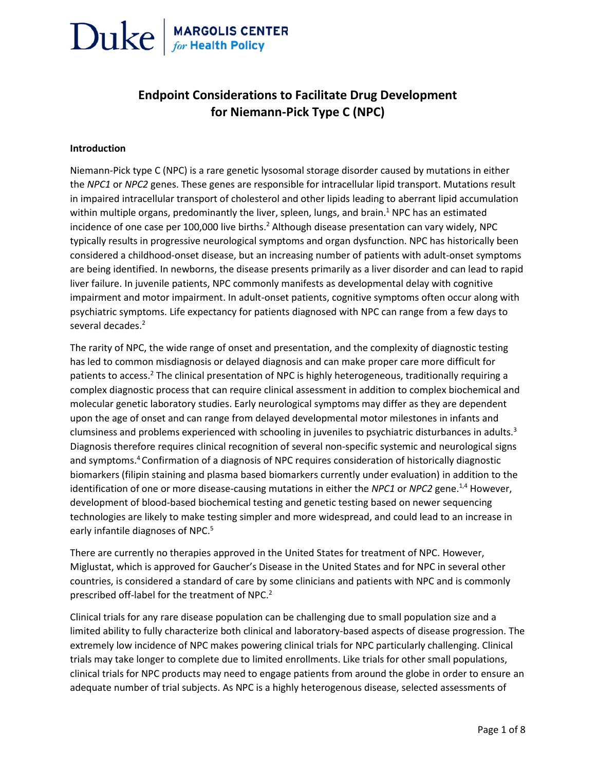### **Endpoint Considerations to Facilitate Drug Development for Niemann-Pick Type C (NPC)**

#### **Introduction**

Niemann-Pick type C (NPC) is a rare genetic lysosomal storage disorder caused by mutations in either the *NPC1* or *NPC2* genes. These genes are responsible for intracellular lipid transport. Mutations result in impaired intracellular transport of cholesterol and other lipids leading to aberrant lipid accumulation within multiple organs, predominantly the liver, spleen, lungs, and brain.<sup>1</sup> NPC has an estimated incidence of one case per 100,000 live births.<sup>2</sup> Although disease presentation can vary widely, NPC typically results in progressive neurological symptoms and organ dysfunction. NPC has historically been considered a childhood-onset disease, but an increasing number of patients with adult-onset symptoms are being identified. In newborns, the disease presents primarily as a liver disorder and can lead to rapid liver failure. In juvenile patients, NPC commonly manifests as developmental delay with cognitive impairment and motor impairment. In adult-onset patients, cognitive symptoms often occur along with psychiatric symptoms. Life expectancy for patients diagnosed with NPC can range from a few days to several decades.<sup>2</sup>

The rarity of NPC, the wide range of onset and presentation, and the complexity of diagnostic testing has led to common misdiagnosis or delayed diagnosis and can make proper care more difficult for patients to access.<sup>2</sup> The clinical presentation of NPC is highly heterogeneous, traditionally requiring a complex diagnostic process that can require clinical assessment in addition to complex biochemical and molecular genetic laboratory studies. Early neurological symptoms may differ as they are dependent upon the age of onset and can range from delayed developmental motor milestones in infants and clumsiness and problems experienced with schooling in juveniles to psychiatric disturbances in adults.<sup>3</sup> Diagnosis therefore requires clinical recognition of several non-specific systemic and neurological signs and symptoms.<sup>4</sup> Confirmation of a diagnosis of NPC requires consideration of historically diagnostic biomarkers (filipin staining and plasma based biomarkers currently under evaluation) in addition to the identification of one or more disease-causing mutations in either the *NPC1* or *NPC2* gene.<sup>1,4</sup> However, development of blood-based biochemical testing and genetic testing based on newer sequencing technologies are likely to make testing simpler and more widespread, and could lead to an increase in early infantile diagnoses of NPC.<sup>5</sup>

There are currently no therapies approved in the United States for treatment of NPC. However, Miglustat, which is approved for Gaucher's Disease in the United States and for NPC in several other countries, is considered a standard of care by some clinicians and patients with NPC and is commonly prescribed off-label for the treatment of NPC.<sup>2</sup>

Clinical trials for any rare disease population can be challenging due to small population size and a limited ability to fully characterize both clinical and laboratory-based aspects of disease progression. The extremely low incidence of NPC makes powering clinical trials for NPC particularly challenging. Clinical trials may take longer to complete due to limited enrollments. Like trials for other small populations, clinical trials for NPC products may need to engage patients from around the globe in order to ensure an adequate number of trial subjects. As NPC is a highly heterogenous disease, selected assessments of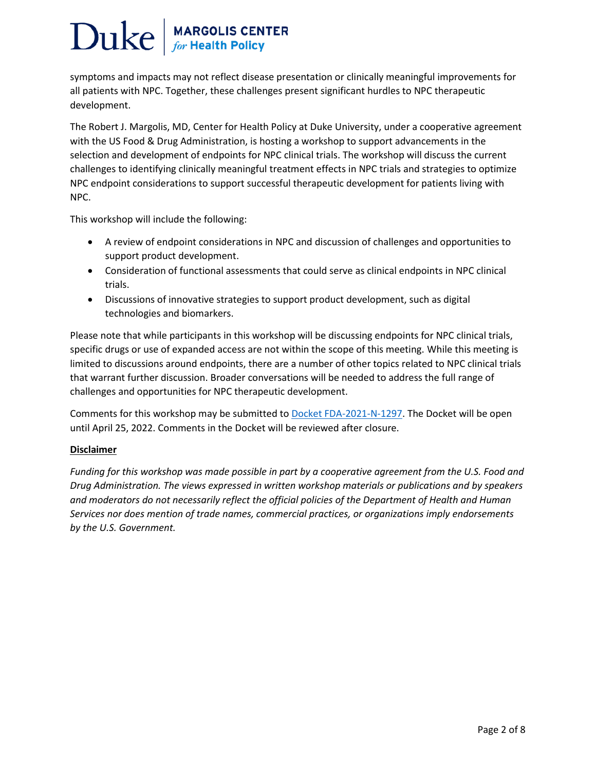symptoms and impacts may not reflect disease presentation or clinically meaningful improvements for all patients with NPC. Together, these challenges present significant hurdles to NPC therapeutic development.

The Robert J. Margolis, MD, Center for Health Policy at Duke University, under a cooperative agreement with the US Food & Drug Administration, is hosting a workshop to support advancements in the selection and development of endpoints for NPC clinical trials. The workshop will discuss the current challenges to identifying clinically meaningful treatment effects in NPC trials and strategies to optimize NPC endpoint considerations to support successful therapeutic development for patients living with NPC.

This workshop will include the following:

- A review of endpoint considerations in NPC and discussion of challenges and opportunities to support product development.
- Consideration of functional assessments that could serve as clinical endpoints in NPC clinical trials.
- Discussions of innovative strategies to support product development, such as digital technologies and biomarkers.

Please note that while participants in this workshop will be discussing endpoints for NPC clinical trials, specific drugs or use of expanded access are not within the scope of this meeting. While this meeting is limited to discussions around endpoints, there are a number of other topics related to NPC clinical trials that warrant further discussion. Broader conversations will be needed to address the full range of challenges and opportunities for NPC therapeutic development.

Comments for this workshop may be submitted t[o Docket FDA-2021-N-1297.](https://urldefense.com/v3/__https:/www.regulations.gov/docket/FDA-2021-N-1297/document__;!!OToaGQ!6uNSqqln3gj6P1esHxr-Wde5dyirPWy77wj6qNUF2dD_8eoSRG_QCFGNbRw1BYFTmt0U$) The Docket will be open until April 25, 2022. Comments in the Docket will be reviewed after closure.

### **Disclaimer**

*Funding for this workshop was made possible in part by a cooperative agreement from the U.S. Food and Drug Administration. The views expressed in written workshop materials or publications and by speakers and moderators do not necessarily reflect the official policies of the Department of Health and Human Services nor does mention of trade names, commercial practices, or organizations imply endorsements by the U.S. Government.*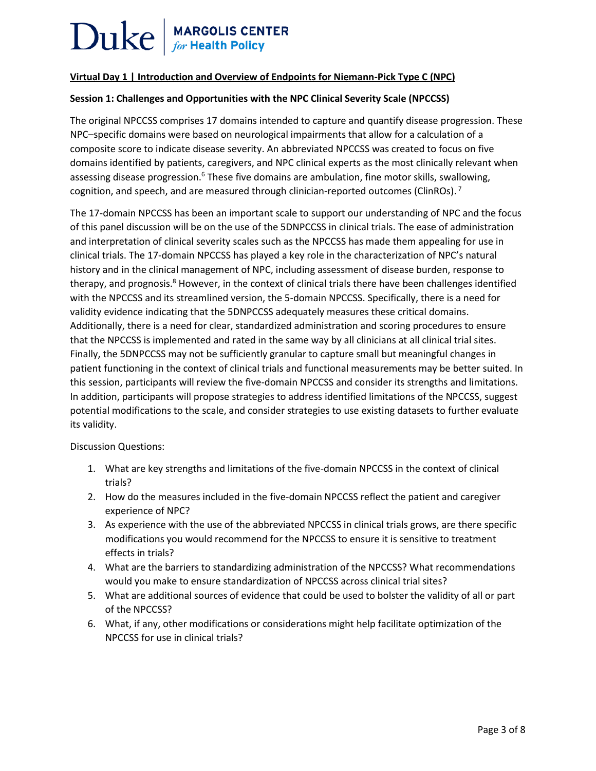# $\text{Duke}$  MARGOLIS CENTER

### **Virtual Day 1 | Introduction and Overview of Endpoints for Niemann-Pick Type C (NPC)**

### **Session 1: Challenges and Opportunities with the NPC Clinical Severity Scale (NPCCSS)**

The original NPCCSS comprises 17 domains intended to capture and quantify disease progression. These NPC–specific domains were based on neurological impairments that allow for a calculation of a composite score to indicate disease severity. An abbreviated NPCCSS was created to focus on five domains identified by patients, caregivers, and NPC clinical experts as the most clinically relevant when assessing disease progression.<sup>6</sup> These five domains are ambulation, fine motor skills, swallowing, cognition, and speech, and are measured through clinician-reported outcomes (ClinROs).<sup>7</sup>

The 17-domain NPCCSS has been an important scale to support our understanding of NPC and the focus of this panel discussion will be on the use of the 5DNPCCSS in clinical trials. The ease of administration and interpretation of clinical severity scales such as the NPCCSS has made them appealing for use in clinical trials. The 17-domain NPCCSS has played a key role in the characterization of NPC's natural history and in the clinical management of NPC, including assessment of disease burden, response to therapy, and prognosis.<sup>8</sup> However, in the context of clinical trials there have been challenges identified with the NPCCSS and its streamlined version, the 5-domain NPCCSS. Specifically, there is a need for validity evidence indicating that the 5DNPCCSS adequately measures these critical domains. Additionally, there is a need for clear, standardized administration and scoring procedures to ensure that the NPCCSS is implemented and rated in the same way by all clinicians at all clinical trial sites. Finally, the 5DNPCCSS may not be sufficiently granular to capture small but meaningful changes in patient functioning in the context of clinical trials and functional measurements may be better suited. In this session, participants will review the five-domain NPCCSS and consider its strengths and limitations. In addition, participants will propose strategies to address identified limitations of the NPCCSS, suggest potential modifications to the scale, and consider strategies to use existing datasets to further evaluate its validity.

Discussion Questions:

- 1. What are key strengths and limitations of the five-domain NPCCSS in the context of clinical trials?
- 2. How do the measures included in the five-domain NPCCSS reflect the patient and caregiver experience of NPC?
- 3. As experience with the use of the abbreviated NPCCSS in clinical trials grows, are there specific modifications you would recommend for the NPCCSS to ensure it is sensitive to treatment effects in trials?
- 4. What are the barriers to standardizing administration of the NPCCSS? What recommendations would you make to ensure standardization of NPCCSS across clinical trial sites?
- 5. What are additional sources of evidence that could be used to bolster the validity of all or part of the NPCCSS?
- 6. What, if any, other modifications or considerations might help facilitate optimization of the NPCCSS for use in clinical trials?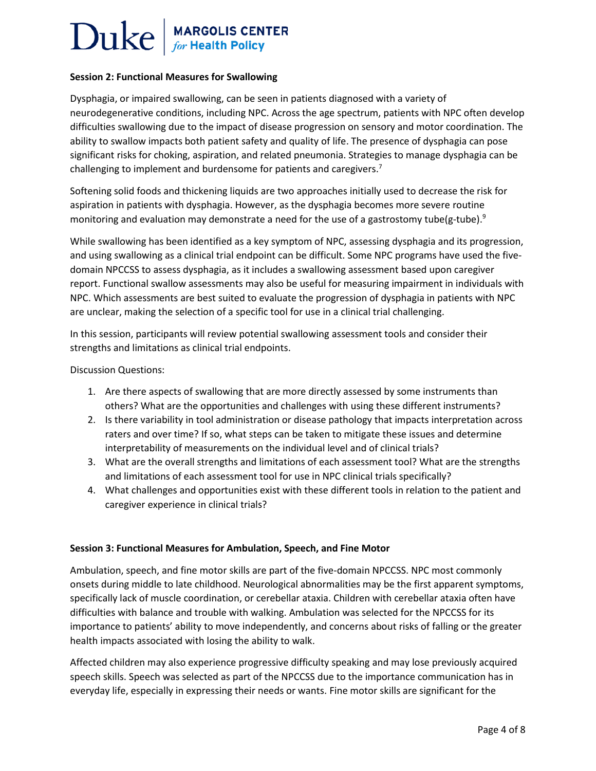## $\text{Duke}$  MARGOLIS CENTER

### **Session 2: Functional Measures for Swallowing**

Dysphagia, or impaired swallowing, can be seen in patients diagnosed with a variety of neurodegenerative conditions, including NPC. Across the age spectrum, patients with NPC often develop difficulties swallowing due to the impact of disease progression on sensory and motor coordination. The ability to swallow impacts both patient safety and quality of life. The presence of dysphagia can pose significant risks for choking, aspiration, and related pneumonia. Strategies to manage dysphagia can be challenging to implement and burdensome for patients and caregivers.<sup>7</sup>

Softening solid foods and thickening liquids are two approaches initially used to decrease the risk for aspiration in patients with dysphagia. However, as the dysphagia becomes more severe routine monitoring and evaluation may demonstrate a need for the use of a gastrostomy tube(g-tube).<sup>9</sup>

While swallowing has been identified as a key symptom of NPC, assessing dysphagia and its progression, and using swallowing as a clinical trial endpoint can be difficult. Some NPC programs have used the fivedomain NPCCSS to assess dysphagia, as it includes a swallowing assessment based upon caregiver report. Functional swallow assessments may also be useful for measuring impairment in individuals with NPC. Which assessments are best suited to evaluate the progression of dysphagia in patients with NPC are unclear, making the selection of a specific tool for use in a clinical trial challenging.

In this session, participants will review potential swallowing assessment tools and consider their strengths and limitations as clinical trial endpoints.

Discussion Questions:

- 1. Are there aspects of swallowing that are more directly assessed by some instruments than others? What are the opportunities and challenges with using these different instruments?
- 2. Is there variability in tool administration or disease pathology that impacts interpretation across raters and over time? If so, what steps can be taken to mitigate these issues and determine interpretability of measurements on the individual level and of clinical trials?
- 3. What are the overall strengths and limitations of each assessment tool? What are the strengths and limitations of each assessment tool for use in NPC clinical trials specifically?
- 4. What challenges and opportunities exist with these different tools in relation to the patient and caregiver experience in clinical trials?

### **Session 3: Functional Measures for Ambulation, Speech, and Fine Motor**

Ambulation, speech, and fine motor skills are part of the five-domain NPCCSS. NPC most commonly onsets during middle to late childhood. Neurological abnormalities may be the first apparent symptoms, specifically lack of muscle coordination, or cerebellar ataxia. Children with cerebellar ataxia often have difficulties with balance and trouble with walking. Ambulation was selected for the NPCCSS for its importance to patients' ability to move independently, and concerns about risks of falling or the greater health impacts associated with losing the ability to walk.

Affected children may also experience progressive difficulty speaking and may lose previously acquired speech skills. Speech was selected as part of the NPCCSS due to the importance communication has in everyday life, especially in expressing their needs or wants. Fine motor skills are significant for the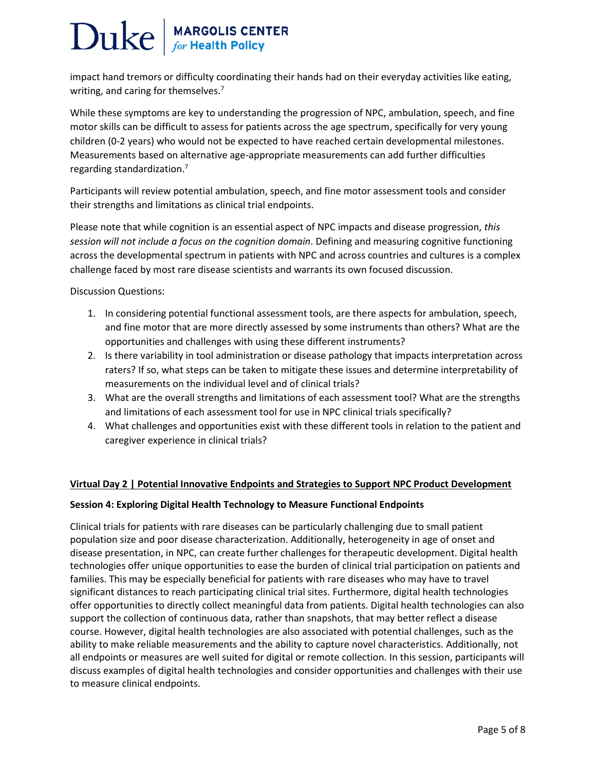impact hand tremors or difficulty coordinating their hands had on their everyday activities like eating, writing, and caring for themselves.<sup>7</sup>

While these symptoms are key to understanding the progression of NPC, ambulation, speech, and fine motor skills can be difficult to assess for patients across the age spectrum, specifically for very young children (0-2 years) who would not be expected to have reached certain developmental milestones. Measurements based on alternative age-appropriate measurements can add further difficulties regarding standardization.<sup>7</sup>

Participants will review potential ambulation, speech, and fine motor assessment tools and consider their strengths and limitations as clinical trial endpoints.

Please note that while cognition is an essential aspect of NPC impacts and disease progression, *this session will not include a focus on the cognition domain*. Defining and measuring cognitive functioning across the developmental spectrum in patients with NPC and across countries and cultures is a complex challenge faced by most rare disease scientists and warrants its own focused discussion.

Discussion Questions:

- 1. In considering potential functional assessment tools, are there aspects for ambulation, speech, and fine motor that are more directly assessed by some instruments than others? What are the opportunities and challenges with using these different instruments?
- 2. Is there variability in tool administration or disease pathology that impacts interpretation across raters? If so, what steps can be taken to mitigate these issues and determine interpretability of measurements on the individual level and of clinical trials?
- 3. What are the overall strengths and limitations of each assessment tool? What are the strengths and limitations of each assessment tool for use in NPC clinical trials specifically?
- 4. What challenges and opportunities exist with these different tools in relation to the patient and caregiver experience in clinical trials?

### **Virtual Day 2 | Potential Innovative Endpoints and Strategies to Support NPC Product Development**

### **Session 4: Exploring Digital Health Technology to Measure Functional Endpoints**

Clinical trials for patients with rare diseases can be particularly challenging due to small patient population size and poor disease characterization. Additionally, heterogeneity in age of onset and disease presentation, in NPC, can create further challenges for therapeutic development. Digital health technologies offer unique opportunities to ease the burden of clinical trial participation on patients and families. This may be especially beneficial for patients with rare diseases who may have to travel significant distances to reach participating clinical trial sites. Furthermore, digital health technologies offer opportunities to directly collect meaningful data from patients. Digital health technologies can also support the collection of continuous data, rather than snapshots, that may better reflect a disease course. However, digital health technologies are also associated with potential challenges, such as the ability to make reliable measurements and the ability to capture novel characteristics. Additionally, not all endpoints or measures are well suited for digital or remote collection. In this session, participants will discuss examples of digital health technologies and consider opportunities and challenges with their use to measure clinical endpoints.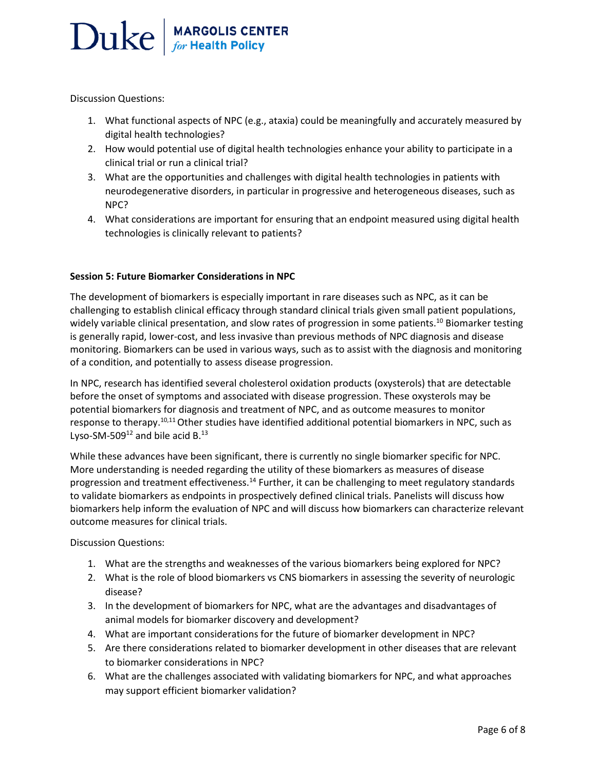Discussion Questions:

- 1. What functional aspects of NPC (e.g., ataxia) could be meaningfully and accurately measured by digital health technologies?
- 2. How would potential use of digital health technologies enhance your ability to participate in a clinical trial or run a clinical trial?
- 3. What are the opportunities and challenges with digital health technologies in patients with neurodegenerative disorders, in particular in progressive and heterogeneous diseases, such as NPC?
- 4. What considerations are important for ensuring that an endpoint measured using digital health technologies is clinically relevant to patients?

### **Session 5: Future Biomarker Considerations in NPC**

The development of biomarkers is especially important in rare diseases such as NPC, as it can be challenging to establish clinical efficacy through standard clinical trials given small patient populations, widely variable clinical presentation, and slow rates of progression in some patients.<sup>10</sup> Biomarker testing is generally rapid, lower-cost, and less invasive than previous methods of NPC diagnosis and disease monitoring. Biomarkers can be used in various ways, such as to assist with the diagnosis and monitoring of a condition, and potentially to assess disease progression.

In NPC, research has identified several cholesterol oxidation products (oxysterols) that are detectable before the onset of symptoms and associated with disease progression. These oxysterols may be potential biomarkers for diagnosis and treatment of NPC, and as outcome measures to monitor response to therapy.<sup>10,11</sup> Other studies have identified additional potential biomarkers in NPC, such as Lyso-SM-509 $^{12}$  and bile acid B. $^{13}$ 

While these advances have been significant, there is currently no single biomarker specific for NPC. More understanding is needed regarding the utility of these biomarkers as measures of disease progression and treatment effectiveness.<sup>14</sup> Further, it can be challenging to meet regulatory standards to validate biomarkers as endpoints in prospectively defined clinical trials. Panelists will discuss how biomarkers help inform the evaluation of NPC and will discuss how biomarkers can characterize relevant outcome measures for clinical trials.

Discussion Questions:

- 1. What are the strengths and weaknesses of the various biomarkers being explored for NPC?
- 2. What is the role of blood biomarkers vs CNS biomarkers in assessing the severity of neurologic disease?
- 3. In the development of biomarkers for NPC, what are the advantages and disadvantages of animal models for biomarker discovery and development?
- 4. What are important considerations for the future of biomarker development in NPC?
- 5. Are there considerations related to biomarker development in other diseases that are relevant to biomarker considerations in NPC?
- 6. What are the challenges associated with validating biomarkers for NPC, and what approaches may support efficient biomarker validation?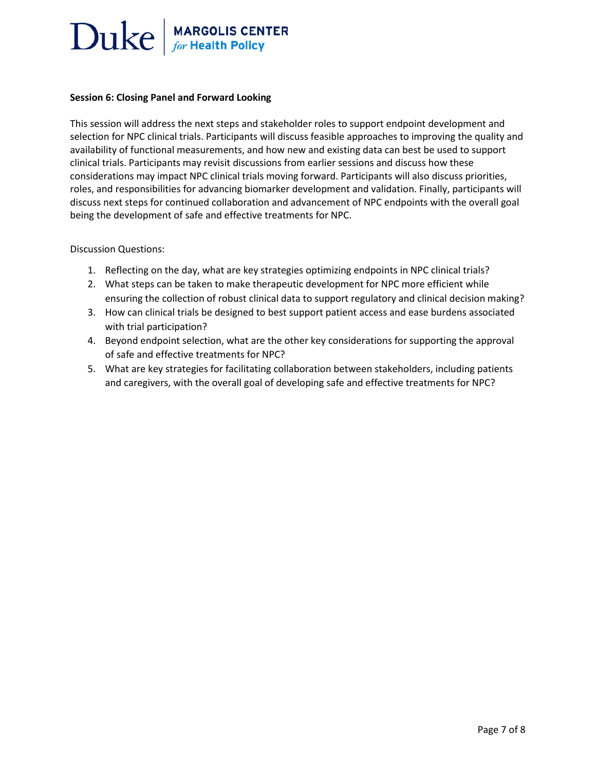#### **Session 6: Closing Panel and Forward Looking**

This session will address the next steps and stakeholder roles to support endpoint development and selection for NPC clinical trials. Participants will discuss feasible approaches to improving the quality and availability of functional measurements, and how new and existing data can best be used to support clinical trials. Participants may revisit discussions from earlier sessions and discuss how these considerations may impact NPC clinical trials moving forward. Participants will also discuss priorities, roles, and responsibilities for advancing biomarker development and validation. Finally, participants will discuss next steps for continued collaboration and advancement of NPC endpoints with the overall goal being the development of safe and effective treatments for NPC.

#### Discussion Questions:

- 1. Reflecting on the day, what are key strategies optimizing endpoints in NPC clinical trials?
- 2. What steps can be taken to make therapeutic development for NPC more efficient while ensuring the collection of robust clinical data to support regulatory and clinical decision making?
- 3. How can clinical trials be designed to best support patient access and ease burdens associated with trial participation?
- 4. Beyond endpoint selection, what are the other key considerations for supporting the approval of safe and effective treatments for NPC?
- 5. What are key strategies for facilitating collaboration between stakeholders, including patients and caregivers, with the overall goal of developing safe and effective treatments for NPC?